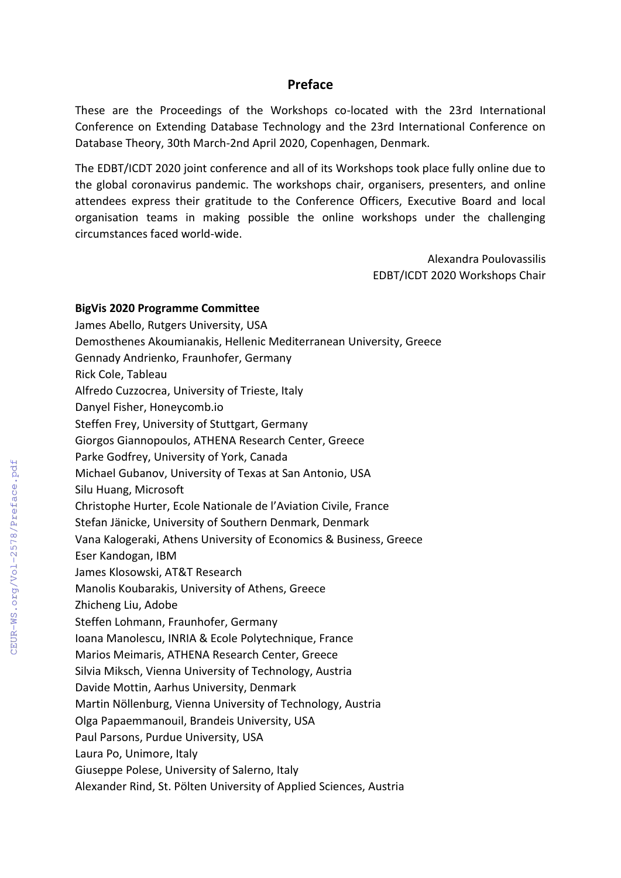# **Preface**

These are the Proceedings of the Workshops co-located with the 23rd International Conference on Extending Database Technology and the 23rd International Conference on Database Theory, 30th March-2nd April 2020, Copenhagen, Denmark.

The EDBT/ICDT 2020 joint conference and all of its Workshops took place fully online due to the global coronavirus pandemic. The workshops chair, organisers, presenters, and online attendees express their gratitude to the Conference Officers, Executive Board and local organisation teams in making possible the online workshops under the challenging circumstances faced world-wide.

> Alexandra Poulovassilis EDBT/ICDT 2020 Workshops Chair

#### **BigVis 2020 Programme Committee**

James Abello, Rutgers University, USA Demosthenes Akoumianakis, Hellenic Mediterranean University, Greece Gennady Andrienko, Fraunhofer, Germany Rick Cole, Tableau Alfredo Cuzzocrea, University of Trieste, Italy Danyel Fisher, Honeycomb.io Steffen Frey, University of Stuttgart, Germany Giorgos Giannopoulos, ATHENA Research Center, Greece Parke Godfrey, University of York, Canada Michael Gubanov, University of Texas at San Antonio, USA Silu Huang, Microsoft Christophe Hurter, Ecole Nationale de l'Aviation Civile, France Stefan Jänicke, University of Southern Denmark, Denmark Vana Kalogeraki, Athens University of Economics & Business, Greece Eser Kandogan, IBM James Klosowski, AT&T Research Manolis Koubarakis, University of Athens, Greece Zhicheng Liu, Adobe Steffen Lohmann, Fraunhofer, Germany Ioana Manolescu, INRIA & Ecole Polytechnique, France Marios Meimaris, ATHENA Research Center, Greece Silvia Miksch, Vienna University of Technology, Austria Davide Mottin, Aarhus University, Denmark Martin Nöllenburg, Vienna University of Technology, Austria Olga Papaemmanouil, Brandeis University, USA Paul Parsons, Purdue University, USA Laura Po, Unimore, Italy Giuseppe Polese, University of Salerno, Italy Alexander Rind, St. Pölten University of Applied Sciences, Austria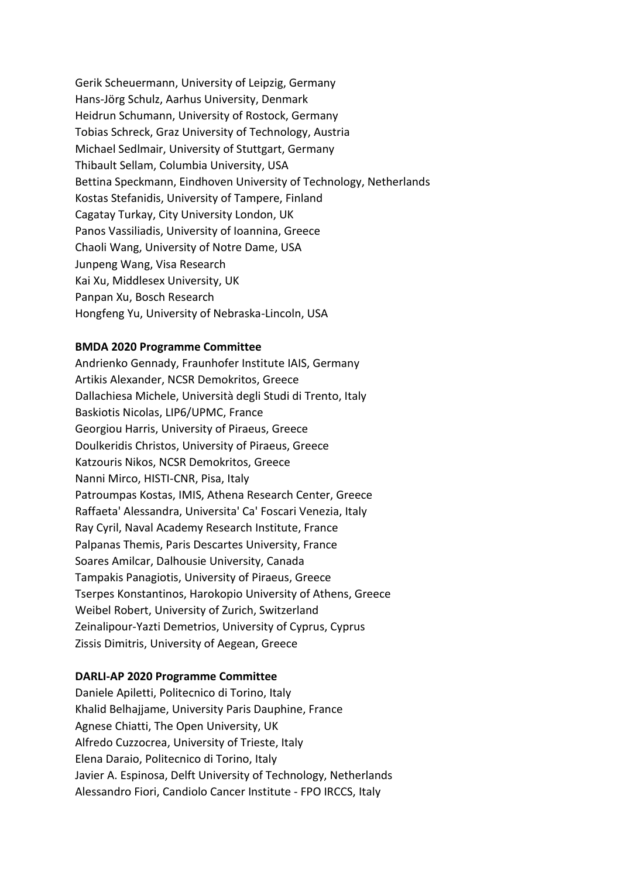Gerik Scheuermann, University of Leipzig, Germany Hans-Jörg Schulz, Aarhus University, Denmark Heidrun Schumann, University of Rostock, Germany Tobias Schreck, Graz University of Technology, Austria Michael Sedlmair, University of Stuttgart, Germany Thibault Sellam, Columbia University, USA Bettina Speckmann, Eindhoven University of Technology, Netherlands Kostas Stefanidis, University of Tampere, Finland Cagatay Turkay, City University London, UK Panos Vassiliadis, University of Ioannina, Greece Chaoli Wang, University of Notre Dame, USA Junpeng Wang, Visa Research Kai Xu, Middlesex University, UK Panpan Xu, Bosch Research Hongfeng Yu, University of Nebraska-Lincoln, USA

### **BMDA 2020 Programme Committee**

Andrienko Gennady, Fraunhofer Institute IAIS, Germany Artikis Alexander, NCSR Demokritos, Greece Dallachiesa Michele, Università degli Studi di Trento, Italy Baskiotis Nicolas, LIP6/UPMC, France Georgiou Harris, University of Piraeus, Greece Doulkeridis Christos, University of Piraeus, Greece Katzouris Nikos, NCSR Demokritos, Greece Nanni Mirco, HISTI-CNR, Pisa, Italy Patroumpas Kostas, IMIS, Athena Research Center, Greece Raffaeta' Alessandra, Universita' Ca' Foscari Venezia, Italy Ray Cyril, Naval Academy Research Institute, France Palpanas Themis, Paris Descartes University, France Soares Amilcar, Dalhousie University, Canada Tampakis Panagiotis, University of Piraeus, Greece Tserpes Konstantinos, Harokopio University of Athens, Greece Weibel Robert, University of Zurich, Switzerland Zeinalipour-Yazti Demetrios, University of Cyprus, Cyprus Zissis Dimitris, University of Aegean, Greece

### **DARLI-AP 2020 Programme Committee**

Daniele Apiletti, Politecnico di Torino, Italy Khalid Belhajjame, University Paris Dauphine, France Agnese Chiatti, The Open University, UK Alfredo Cuzzocrea, University of Trieste, Italy Elena Daraio, Politecnico di Torino, Italy Javier A. Espinosa, Delft University of Technology, Netherlands Alessandro Fiori, Candiolo Cancer Institute - FPO IRCCS, Italy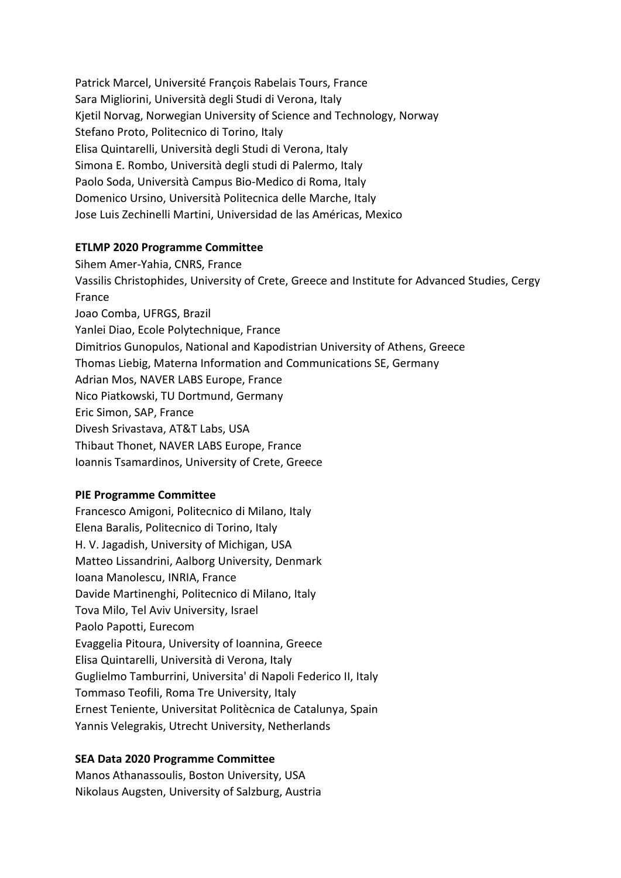Patrick Marcel, Université François Rabelais Tours, France Sara Migliorini, Università degli Studi di Verona, Italy Kjetil Norvag, Norwegian University of Science and Technology, Norway Stefano Proto, Politecnico di Torino, Italy Elisa Quintarelli, Università degli Studi di Verona, Italy Simona E. Rombo, Università degli studi di Palermo, Italy Paolo Soda, Università Campus Bio-Medico di Roma, Italy Domenico Ursino, Università Politecnica delle Marche, Italy Jose Luis Zechinelli Martini, Universidad de las Américas, Mexico

### **ETLMP 2020 Programme Committee**

Sihem Amer-Yahia, CNRS, France Vassilis Christophides, University of Crete, Greece and Institute for Advanced Studies, Cergy France Joao Comba, UFRGS, Brazil Yanlei Diao, Ecole Polytechnique, France Dimitrios Gunopulos, National and Kapodistrian University of Athens, Greece Thomas Liebig, Materna Information and Communications SE, Germany Adrian Mos, NAVER LABS Europe, France Nico Piatkowski, TU Dortmund, Germany Eric Simon, SAP, France Divesh Srivastava, AT&T Labs, USA Thibaut Thonet, NAVER LABS Europe, France Ioannis Tsamardinos, University of Crete, Greece

### **PIE Programme Committee**

Francesco Amigoni, Politecnico di Milano, Italy Elena Baralis, Politecnico di Torino, Italy H. V. Jagadish, University of Michigan, USA Matteo Lissandrini, Aalborg University, Denmark Ioana Manolescu, INRIA, France Davide Martinenghi, Politecnico di Milano, Italy Tova Milo, Tel Aviv University, Israel Paolo Papotti, Eurecom Evaggelia Pitoura, University of Ioannina, Greece Elisa Quintarelli, Università di Verona, Italy Guglielmo Tamburrini, Universita' di Napoli Federico II, Italy Tommaso Teofili, Roma Tre University, Italy Ernest Teniente, Universitat Politècnica de Catalunya, Spain Yannis Velegrakis, Utrecht University, Netherlands

# **SEA Data 2020 Programme Committee**

Manos Athanassoulis, Boston University, USA Nikolaus Augsten, University of Salzburg, Austria